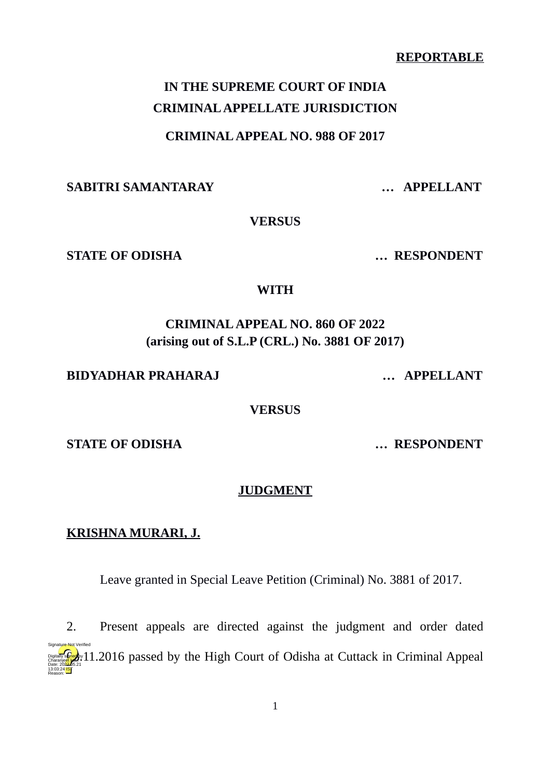#### **REPORTABLE**

# **IN THE SUPREME COURT OF INDIA CRIMINAL APPELLATE JURISDICTION**

#### **CRIMINAL APPEAL NO. 988 OF 2017**

**SABITRI SAMANTARAY … APPELLANT**

**VERSUS**

**STATE OF ODISHA … RESPONDENT**

#### **WITH**

# **CRIMINAL APPEAL NO. 860 OF 2022 (arising out of S.L.P (CRL.) No. 3881 OF 2017)**

#### **BIDYADHAR PRAHARAJ … APPELLANT**

**VERSUS**

**STATE OF ODISHA … RESPONDENT**

#### **JUDGMENT**

#### **KRISHNA MURARI, J.**

Leave granted in Special Leave Petition (Criminal) No. 3881 of 2017.

2. Present appeals are directed against the judgment and order dated **Digitally signed by the High Court of Odisha at Cuttack in Criminal Appeal** Charanjeet kaur Date: 2022.05.21 13:03:24<sup>1S</sup> Reason: Signature Not Verified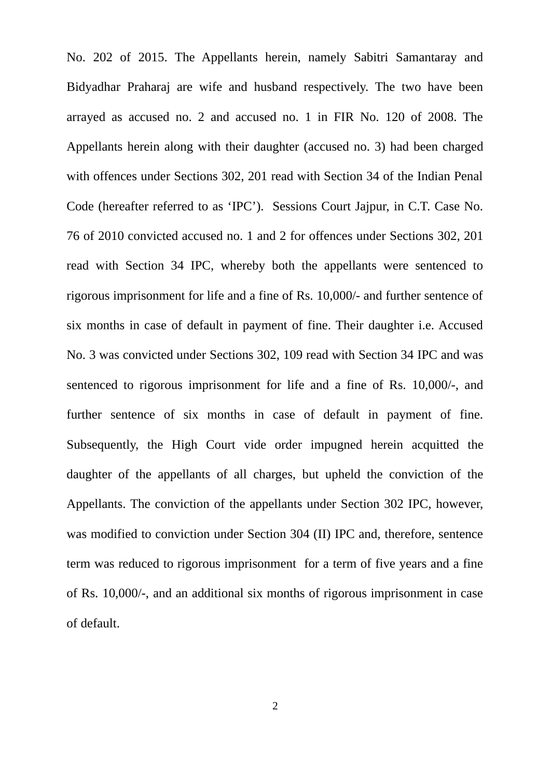No. 202 of 2015. The Appellants herein, namely Sabitri Samantaray and Bidyadhar Praharaj are wife and husband respectively. The two have been arrayed as accused no. 2 and accused no. 1 in FIR No. 120 of 2008. The Appellants herein along with their daughter (accused no. 3) had been charged with offences under Sections 302, 201 read with Section 34 of the Indian Penal Code (hereafter referred to as 'IPC'). Sessions Court Jajpur, in C.T. Case No. 76 of 2010 convicted accused no. 1 and 2 for offences under Sections 302, 201 read with Section 34 IPC, whereby both the appellants were sentenced to rigorous imprisonment for life and a fine of Rs. 10,000/- and further sentence of six months in case of default in payment of fine. Their daughter i.e. Accused No. 3 was convicted under Sections 302, 109 read with Section 34 IPC and was sentenced to rigorous imprisonment for life and a fine of Rs. 10,000/-, and further sentence of six months in case of default in payment of fine. Subsequently, the High Court vide order impugned herein acquitted the daughter of the appellants of all charges, but upheld the conviction of the Appellants. The conviction of the appellants under Section 302 IPC, however, was modified to conviction under Section 304 (II) IPC and, therefore, sentence term was reduced to rigorous imprisonment for a term of five years and a fine of Rs. 10,000/-, and an additional six months of rigorous imprisonment in case of default.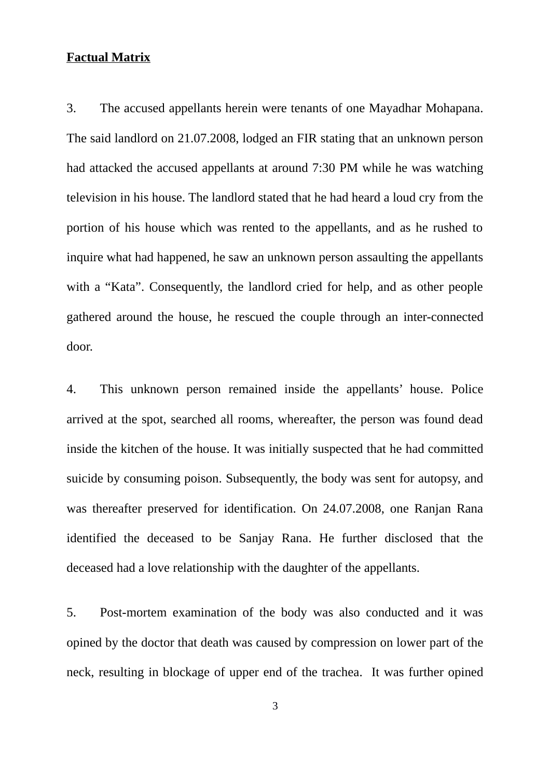## **Factual Matrix**

3. The accused appellants herein were tenants of one Mayadhar Mohapana. The said landlord on 21.07.2008, lodged an FIR stating that an unknown person had attacked the accused appellants at around 7:30 PM while he was watching television in his house. The landlord stated that he had heard a loud cry from the portion of his house which was rented to the appellants, and as he rushed to inquire what had happened, he saw an unknown person assaulting the appellants with a "Kata". Consequently, the landlord cried for help, and as other people gathered around the house, he rescued the couple through an inter-connected door.

4. This unknown person remained inside the appellants' house. Police arrived at the spot, searched all rooms, whereafter, the person was found dead inside the kitchen of the house. It was initially suspected that he had committed suicide by consuming poison. Subsequently, the body was sent for autopsy, and was thereafter preserved for identification. On 24.07.2008, one Ranjan Rana identified the deceased to be Sanjay Rana. He further disclosed that the deceased had a love relationship with the daughter of the appellants.

5. Post-mortem examination of the body was also conducted and it was opined by the doctor that death was caused by compression on lower part of the neck, resulting in blockage of upper end of the trachea. It was further opined

3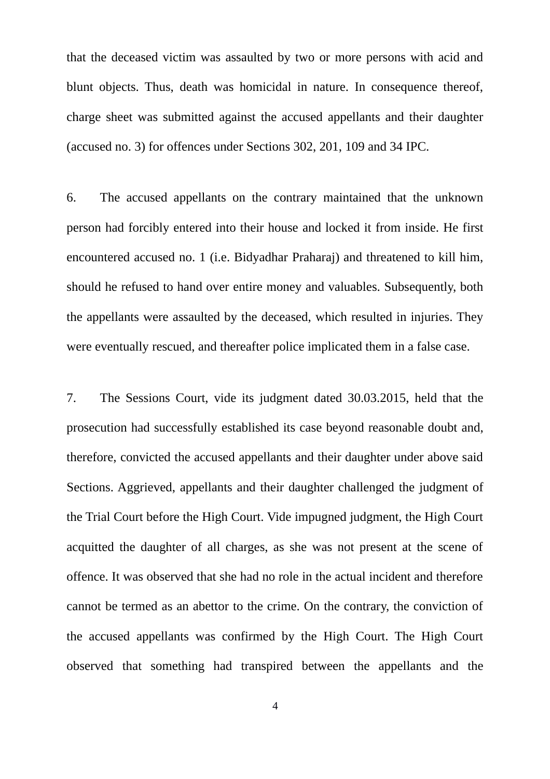that the deceased victim was assaulted by two or more persons with acid and blunt objects. Thus, death was homicidal in nature. In consequence thereof, charge sheet was submitted against the accused appellants and their daughter (accused no. 3) for offences under Sections 302, 201, 109 and 34 IPC.

6. The accused appellants on the contrary maintained that the unknown person had forcibly entered into their house and locked it from inside. He first encountered accused no. 1 (i.e. Bidyadhar Praharaj) and threatened to kill him, should he refused to hand over entire money and valuables. Subsequently, both the appellants were assaulted by the deceased, which resulted in injuries. They were eventually rescued, and thereafter police implicated them in a false case.

7. The Sessions Court, vide its judgment dated 30.03.2015, held that the prosecution had successfully established its case beyond reasonable doubt and, therefore, convicted the accused appellants and their daughter under above said Sections. Aggrieved, appellants and their daughter challenged the judgment of the Trial Court before the High Court. Vide impugned judgment, the High Court acquitted the daughter of all charges, as she was not present at the scene of offence. It was observed that she had no role in the actual incident and therefore cannot be termed as an abettor to the crime. On the contrary, the conviction of the accused appellants was confirmed by the High Court. The High Court observed that something had transpired between the appellants and the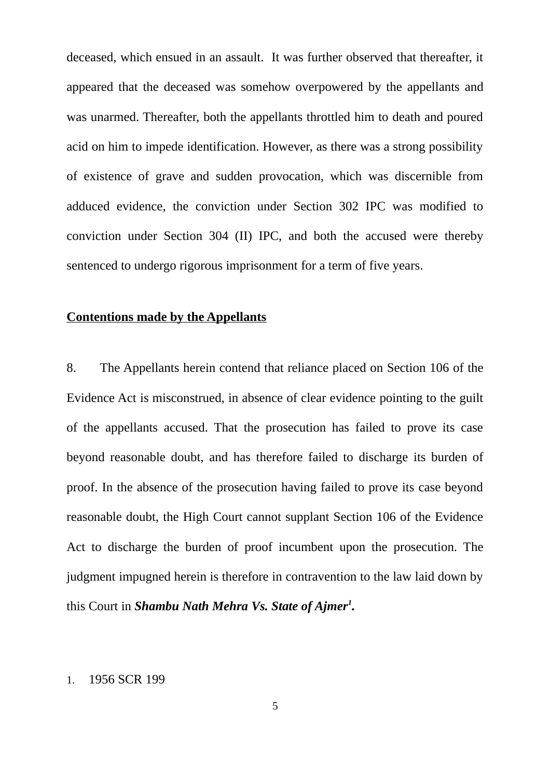deceased, which ensued in an assault. It was further observed that thereafter, it appeared that the deceased was somehow overpowered by the appellants and was unarmed. Thereafter, both the appellants throttled him to death and poured acid on him to impede identification. However, as there was a strong possibility of existence of grave and sudden provocation, which was discernible from adduced evidence, the conviction under Section 302 IPC was modified to conviction under Section 304 (II) IPC, and both the accused were thereby sentenced to undergo rigorous imprisonment for a term of five years.

# **Contentions made by the Appellants**

8. The Appellants herein contend that reliance placed on Section 106 of the Evidence Act is misconstrued, in absence of clear evidence pointing to the guilt of the appellants accused. That the prosecution has failed to prove its case beyond reasonable doubt, and has therefore failed to discharge its burden of proof. In the absence of the prosecution having failed to prove its case beyond reasonable doubt, the High Court cannot supplant Section 106 of the Evidence Act to discharge the burden of proof incumbent upon the prosecution. The judgment impugned herein is therefore in contravention to the law laid down by this Court in *Shambu Nath Mehra Vs. State of Ajmer[1](#page-4-0) .*

#### <span id="page-4-0"></span>1. 1956 SCR 199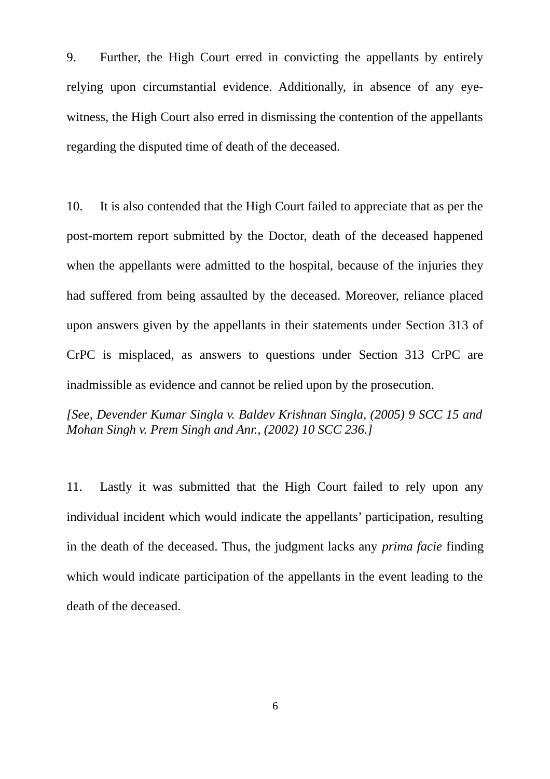9. Further, the High Court erred in convicting the appellants by entirely relying upon circumstantial evidence. Additionally, in absence of any eyewitness, the High Court also erred in dismissing the contention of the appellants regarding the disputed time of death of the deceased.

10. It is also contended that the High Court failed to appreciate that as per the post-mortem report submitted by the Doctor, death of the deceased happened when the appellants were admitted to the hospital, because of the injuries they had suffered from being assaulted by the deceased. Moreover, reliance placed upon answers given by the appellants in their statements under Section 313 of CrPC is misplaced, as answers to questions under Section 313 CrPC are inadmissible as evidence and cannot be relied upon by the prosecution.

*[See, Devender Kumar Singla v. Baldev Krishnan Singla, (2005) 9 SCC 15 and Mohan Singh v. Prem Singh and Anr., (2002) 10 SCC 236.]*

11. Lastly it was submitted that the High Court failed to rely upon any individual incident which would indicate the appellants' participation, resulting in the death of the deceased. Thus, the judgment lacks any *prima facie* finding which would indicate participation of the appellants in the event leading to the death of the deceased.

6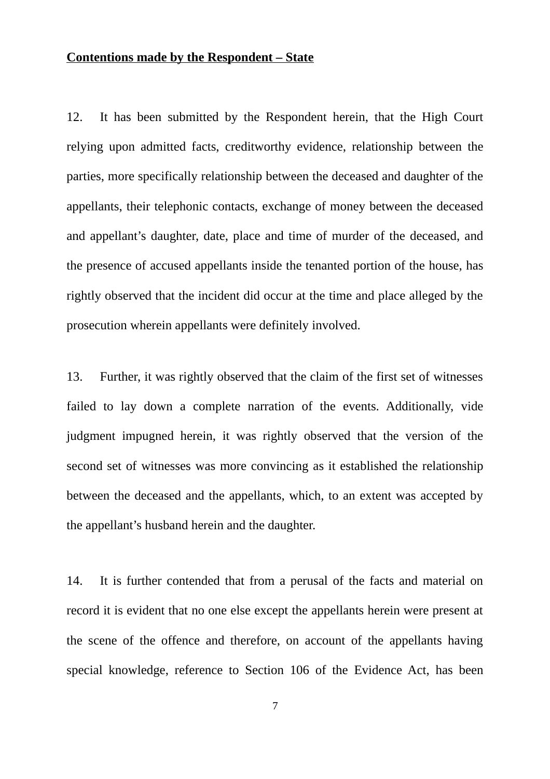#### **Contentions made by the Respondent – State**

12. It has been submitted by the Respondent herein, that the High Court relying upon admitted facts, creditworthy evidence, relationship between the parties, more specifically relationship between the deceased and daughter of the appellants, their telephonic contacts, exchange of money between the deceased and appellant's daughter, date, place and time of murder of the deceased, and the presence of accused appellants inside the tenanted portion of the house, has rightly observed that the incident did occur at the time and place alleged by the prosecution wherein appellants were definitely involved.

13. Further, it was rightly observed that the claim of the first set of witnesses failed to lay down a complete narration of the events. Additionally, vide judgment impugned herein, it was rightly observed that the version of the second set of witnesses was more convincing as it established the relationship between the deceased and the appellants, which, to an extent was accepted by the appellant's husband herein and the daughter.

14. It is further contended that from a perusal of the facts and material on record it is evident that no one else except the appellants herein were present at the scene of the offence and therefore, on account of the appellants having special knowledge, reference to Section 106 of the Evidence Act, has been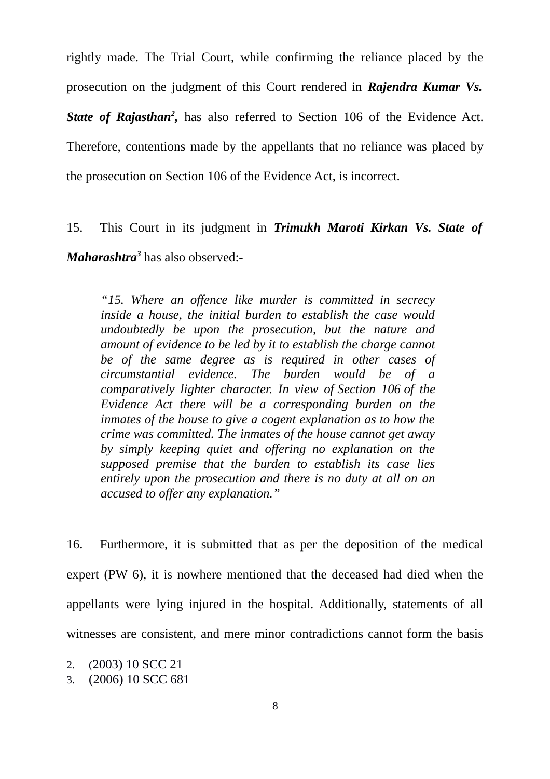rightly made. The Trial Court, while confirming the reliance placed by the prosecution on the judgment of this Court rendered in *Rajendra Kumar Vs.* State of Rajasthan<sup>[2](#page-7-0)</sup>, has also referred to Section 106 of the Evidence Act. Therefore, contentions made by the appellants that no reliance was placed by the prosecution on Section 106 of the Evidence Act, is incorrect.

15. This Court in its judgment in *Trimukh Maroti Kirkan Vs. State of Maharashtra[3](#page-7-1)* has also observed:-

*"15. Where an offence like murder is committed in secrecy inside a house, the initial burden to establish the case would undoubtedly be upon the prosecution, but the nature and amount of evidence to be led by it to establish the charge cannot be of the same degree as is required in other cases of circumstantial evidence. The burden would be of a comparatively lighter character. In view of Section 106 of the Evidence Act there will be a corresponding burden on the inmates of the house to give a cogent explanation as to how the crime was committed. The inmates of the house cannot get away by simply keeping quiet and offering no explanation on the supposed premise that the burden to establish its case lies entirely upon the prosecution and there is no duty at all on an accused to offer any explanation."*

16. Furthermore, it is submitted that as per the deposition of the medical expert (PW 6), it is nowhere mentioned that the deceased had died when the appellants were lying injured in the hospital. Additionally, statements of all witnesses are consistent, and mere minor contradictions cannot form the basis

- <span id="page-7-0"></span>2. (2003) 10 SCC 21
- <span id="page-7-1"></span>3. (2006) 10 SCC 681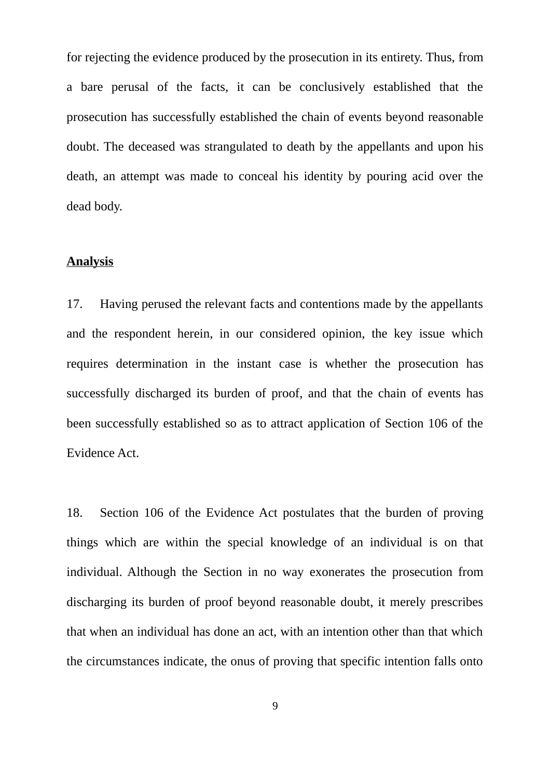for rejecting the evidence produced by the prosecution in its entirety. Thus, from a bare perusal of the facts, it can be conclusively established that the prosecution has successfully established the chain of events beyond reasonable doubt. The deceased was strangulated to death by the appellants and upon his death, an attempt was made to conceal his identity by pouring acid over the dead body.

## **Analysis**

17. Having perused the relevant facts and contentions made by the appellants and the respondent herein, in our considered opinion, the key issue which requires determination in the instant case is whether the prosecution has successfully discharged its burden of proof, and that the chain of events has been successfully established so as to attract application of Section 106 of the Evidence Act.

18. Section 106 of the Evidence Act postulates that the burden of proving things which are within the special knowledge of an individual is on that individual. Although the Section in no way exonerates the prosecution from discharging its burden of proof beyond reasonable doubt, it merely prescribes that when an individual has done an act, with an intention other than that which the circumstances indicate, the onus of proving that specific intention falls onto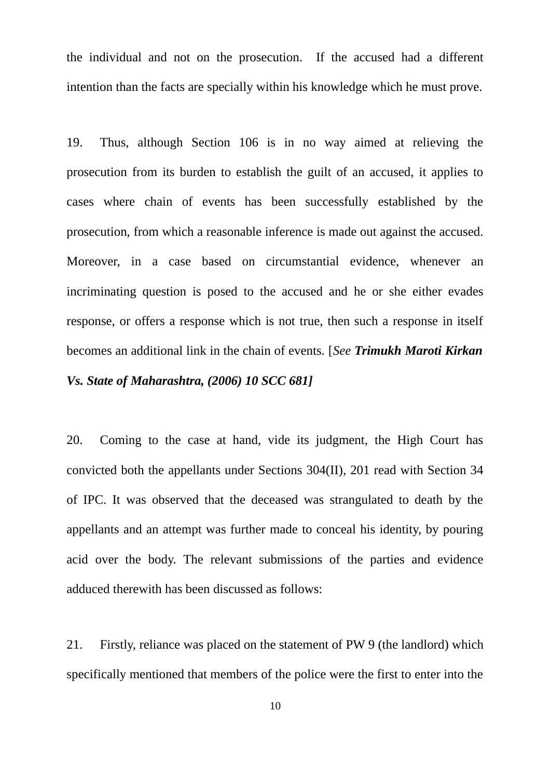the individual and not on the prosecution. If the accused had a different intention than the facts are specially within his knowledge which he must prove.

19. Thus, although Section 106 is in no way aimed at relieving the prosecution from its burden to establish the guilt of an accused, it applies to cases where chain of events has been successfully established by the prosecution, from which a reasonable inference is made out against the accused. Moreover, in a case based on circumstantial evidence, whenever an incriminating question is posed to the accused and he or she either evades response, or offers a response which is not true, then such a response in itself becomes an additional link in the chain of events. [*See Trimukh Maroti Kirkan Vs. State of Maharashtra, (2006) 10 SCC 681]*

20. Coming to the case at hand, vide its judgment, the High Court has convicted both the appellants under Sections 304(II), 201 read with Section 34 of IPC. It was observed that the deceased was strangulated to death by the appellants and an attempt was further made to conceal his identity, by pouring acid over the body. The relevant submissions of the parties and evidence adduced therewith has been discussed as follows:

21. Firstly, reliance was placed on the statement of PW 9 (the landlord) which specifically mentioned that members of the police were the first to enter into the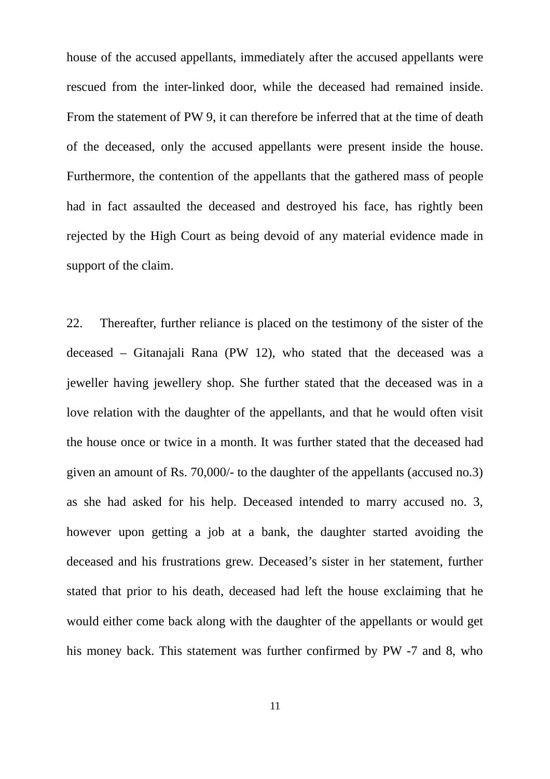house of the accused appellants, immediately after the accused appellants were rescued from the inter-linked door, while the deceased had remained inside. From the statement of PW 9, it can therefore be inferred that at the time of death of the deceased, only the accused appellants were present inside the house. Furthermore, the contention of the appellants that the gathered mass of people had in fact assaulted the deceased and destroyed his face, has rightly been rejected by the High Court as being devoid of any material evidence made in support of the claim.

22. Thereafter, further reliance is placed on the testimony of the sister of the deceased – Gitanajali Rana (PW 12), who stated that the deceased was a jeweller having jewellery shop. She further stated that the deceased was in a love relation with the daughter of the appellants, and that he would often visit the house once or twice in a month. It was further stated that the deceased had given an amount of Rs. 70,000/- to the daughter of the appellants (accused no.3) as she had asked for his help. Deceased intended to marry accused no. 3, however upon getting a job at a bank, the daughter started avoiding the deceased and his frustrations grew. Deceased's sister in her statement, further stated that prior to his death, deceased had left the house exclaiming that he would either come back along with the daughter of the appellants or would get his money back. This statement was further confirmed by PW -7 and 8, who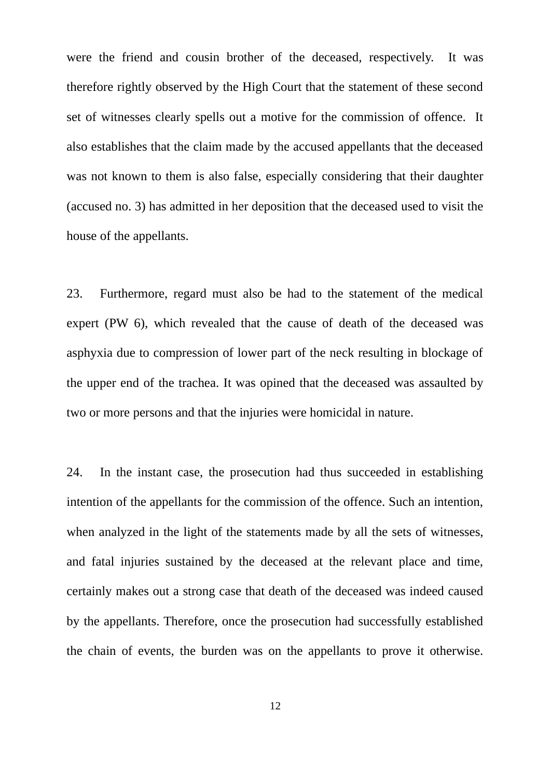were the friend and cousin brother of the deceased, respectively. It was therefore rightly observed by the High Court that the statement of these second set of witnesses clearly spells out a motive for the commission of offence. It also establishes that the claim made by the accused appellants that the deceased was not known to them is also false, especially considering that their daughter (accused no. 3) has admitted in her deposition that the deceased used to visit the house of the appellants.

23. Furthermore, regard must also be had to the statement of the medical expert (PW 6), which revealed that the cause of death of the deceased was asphyxia due to compression of lower part of the neck resulting in blockage of the upper end of the trachea. It was opined that the deceased was assaulted by two or more persons and that the injuries were homicidal in nature.

24. In the instant case, the prosecution had thus succeeded in establishing intention of the appellants for the commission of the offence. Such an intention, when analyzed in the light of the statements made by all the sets of witnesses, and fatal injuries sustained by the deceased at the relevant place and time, certainly makes out a strong case that death of the deceased was indeed caused by the appellants. Therefore, once the prosecution had successfully established the chain of events, the burden was on the appellants to prove it otherwise.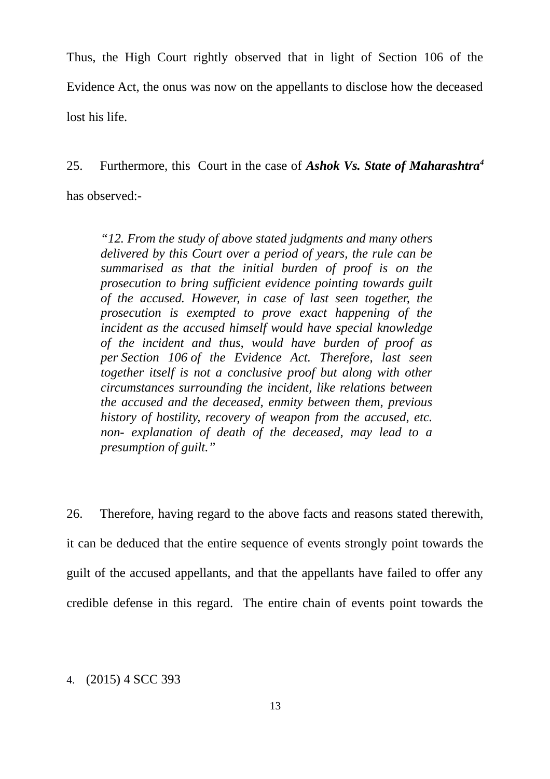Thus, the High Court rightly observed that in light of Section 106 of the Evidence Act, the onus was now on the appellants to disclose how the deceased lost his life.

25. Furthermore, this Court in the case of *Ashok Vs. State of Maharashtra[4](#page-12-0)*

has observed:-

*"12. From the study of above stated judgments and many others delivered by this Court over a period of years, the rule can be summarised as that the initial burden of proof is on the prosecution to bring sufficient evidence pointing towards guilt of the accused. However, in case of last seen together, the prosecution is exempted to prove exact happening of the incident as the accused himself would have special knowledge of the incident and thus, would have burden of proof as per Section 106 of the Evidence Act. Therefore, last seen together itself is not a conclusive proof but along with other circumstances surrounding the incident, like relations between the accused and the deceased, enmity between them, previous history of hostility, recovery of weapon from the accused, etc. non- explanation of death of the deceased, may lead to a presumption of guilt."*

26. Therefore, having regard to the above facts and reasons stated therewith, it can be deduced that the entire sequence of events strongly point towards the guilt of the accused appellants, and that the appellants have failed to offer any credible defense in this regard. The entire chain of events point towards the

<span id="page-12-0"></span>4. (2015) 4 SCC 393